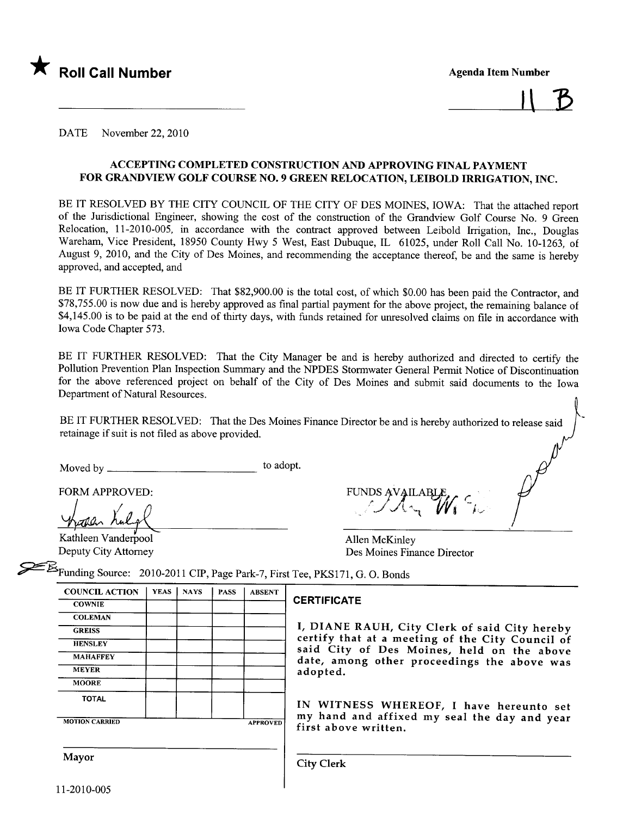

 $11B$ 

 $\cdot$ 

DATE November 22, 2010

### ACCEPTING COMPLETED CONSTRUCTION AND APPROVING FINAL PAYMENT FOR GRANDVIEW GOLF COURSE NO.9 GREEN RELOCATION, LEIBOLD IRRIGATION, INC.

BE IT RESOLVED BY THE CITY COUNCIL OF THE CITY OF DES MOINES, IOWA: That the attached report of the Jurisdictional Engineer, showing the cost of the construction of the Grandview Golf Course No. 9 Green Relocation, 11-2010-005, in accordance with the contract approved between Leibold Irrigation, Inc., Douglas Wareham, Vice President, 18950 County Hwy 5 West, East Dubuque, IL 61025, under Roll Call No. 10-1263, of August 9, 2010, and the City of Des Moines, and recommending the acceptance thereof, be and the same is hereby approved, and accepted, and

BE IT FURTHER RESOLVED: That \$82,900.00 is the total cost, of which \$0.00 has been paid the Contractor, and \$78,755.00 is now due and is hereby approved as final partial payment for the above project, the remaining balance of \$4,145.00 is to be paid at the end of thirty days, with funds retained for unresolved claims on file in accordance with Iowa Code Chapter 573.

BE IT FURTHER RESOLVED: That the City Manager be and is hereby authorized and directed to certify the Pollution Prevention Plan Inspection Summary and the NPDES Stormwater General Permt Notice of Discontinuation for the above referenced project on behalf of the City of Des Moines and submit said documents to the Iowa Department of Natural Resources.

BE IT FURTHER RESOLVED: That the Des Moines Finance Director be and is hereby authorized to release said retainage if suit is not fied as above provided.

Moved by to adopt.

**COLEMAN** 

MOORE

| FORM APPROVED:      | FUNDS AVAILABLE.     |
|---------------------|----------------------|
| hopen Kulpt         | $1/\sqrt{N_{\rm H}}$ |
| Kathleen Vanderpool | Allen McKinley       |

Kathleen Vanderpool<br>Deputy City Attorney Des Moines Finance Director

 $\epsilon_{\text{Funding Source:}}$  2010-2011 CIP, Page Park-7, First Tee, PKS171, G. O. Bonds

| <b>COUNCIL ACTION</b> | VEAS NAYS PASS | ABSENT |                    |
|-----------------------|----------------|--------|--------------------|
| <b>COWNIE</b>         |                |        | <b>CERTIFICATE</b> |

GREISS **II, DIANE RAUH, City Clerk of said City hereby** HENSLEY **COUNCIL CERTIFY** certify that at a meeting of the City Council of MAHAFFEY Said City of Des Moines, held on the above MAHAFFEY date, among other proceedings the above was adopted.

TOTAL | | | | IN WITNESS WHEREOF, I have hereunto set MOTION CARRIED **APPROVED** my hand and affixed my seal the day and year first above written.

Mayor and City Clerk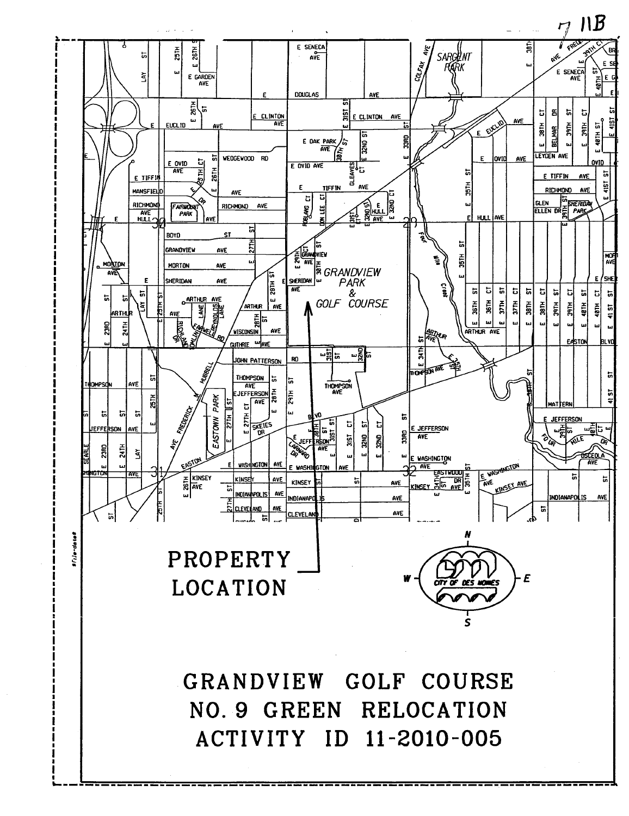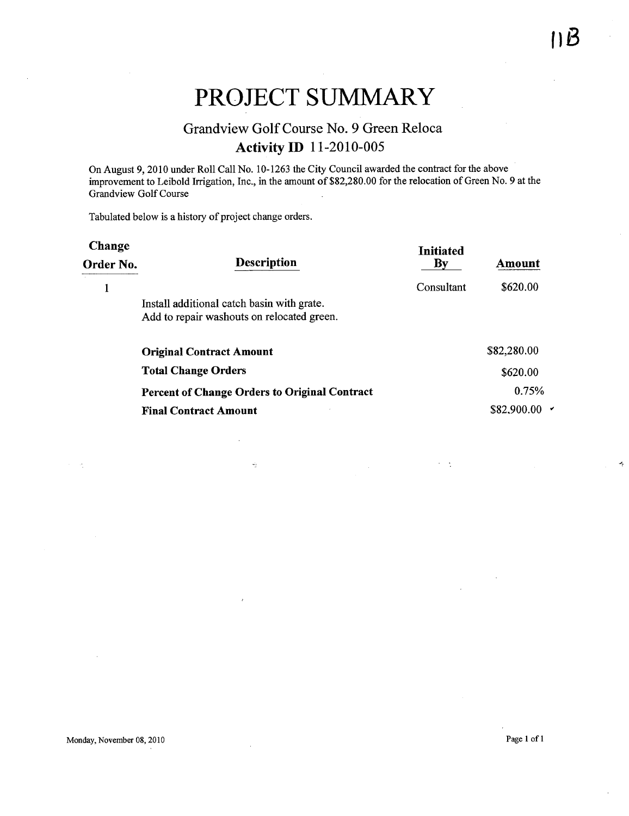J.

# PROJECT SUMMARY

## Grandview Golf Course No.9 Green Reloca Activity ID 11-2010-005

On August 9, 2010 under Roll Call No. 10-1263 the City Council awarded the contract for the above improvement to Leibold Irigation, Inc., in the amount of \$82,280.00 for the relocation of Green No.9 at the Grandview Golf Course

Tabulated below is a history of project change orders.

| <b>Description</b><br>$\mathbf{B}\mathbf{v}$<br>Amount<br>Order No.                      |             |
|------------------------------------------------------------------------------------------|-------------|
| Consultant                                                                               | \$620.00    |
| Install additional catch basin with grate.<br>Add to repair washouts on relocated green. |             |
| <b>Original Contract Amount</b>                                                          | \$82,280.00 |
| <b>Total Change Orders</b>                                                               | \$620.00    |
| <b>Percent of Change Orders to Original Contract</b>                                     | 0.75%       |
| <b>Final Contract Amount</b>                                                             | \$82,900.00 |

 $\omega_2$ 

 $\Delta$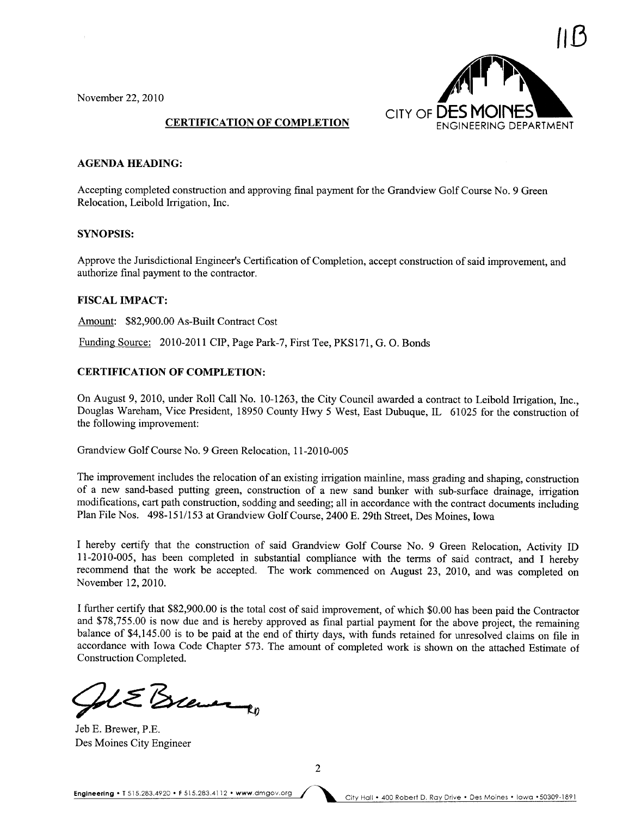November 22,2010



### AGENDA HEADING:

Accepting completed construction and approving final payment for the Grandview Golf Course No. 9 Green Relocation, Leibold Irrigation, Inc.

### SYNOPSIS:

Approve the Jurisdictional Engineer's Certification of Completion, accept construction of said improvement, and authorize final payment to the contractor.

### FISCAL IMPACT:

Amount: \$82,900.00 As-Built Contract Cost

Funding Source: 2010-2011 CIP, Page Park-7, First Tee, PKS171, G. O. Bonds

### CERTIFICATION OF COMPLETION:

On August 9, 2010, under Roll Call No. 10-1263, the City Council awarded a contract to Leibold Irrigation, Inc., Douglas Wareham, Vice President, 18950 County Hwy 5 West, East Dubuque, IL 61025 for the construction of the following improvement:

Grandview Golf Course No.9 Green Relocation, 11-2010-005

The improvement includes the relocation of an existing irrigation mainline, mass grading and shaping, construction of a new sand-based putting green, construction of a new sand bunker with sub-surface drainage, irrigation modifications, cart path construction, sodding and seeding; all in accordance with the contract documents including Plan File Nos. 498-151/153 at Grandview Golf Course, 2400 E. 29th Street, Des Moines, Iowa

I hereby certify that the construction of said Grandview Golf Course No. 9 Green Relocation, Activity ID 11-2010-005, has been completed in substantial compliance with the terms of said contract, and I hereby recommend that the work be accepted. The work commenced on August 23, 2010, and was completed on November 12,2010.

I further certify that \$82,900.00 is the total cost of said improvement, of which \$0.00 has been paid the Contractor and \$78,755.00 is now due and is hereby approved as final partial payment for the above project, the remaining balance of \$4,145.00 is to be paid at the end of thirty days, with funds retained for unresolved claims on file in accordance with Iowa Code Chapter 573. The amount of completed work is shown on the attached Estimate of Construction Completed.

Set E Bree<br>Jeb E. Brewer, P.E.

Jeb E. Brewer, P.E. Des Moines City Engineer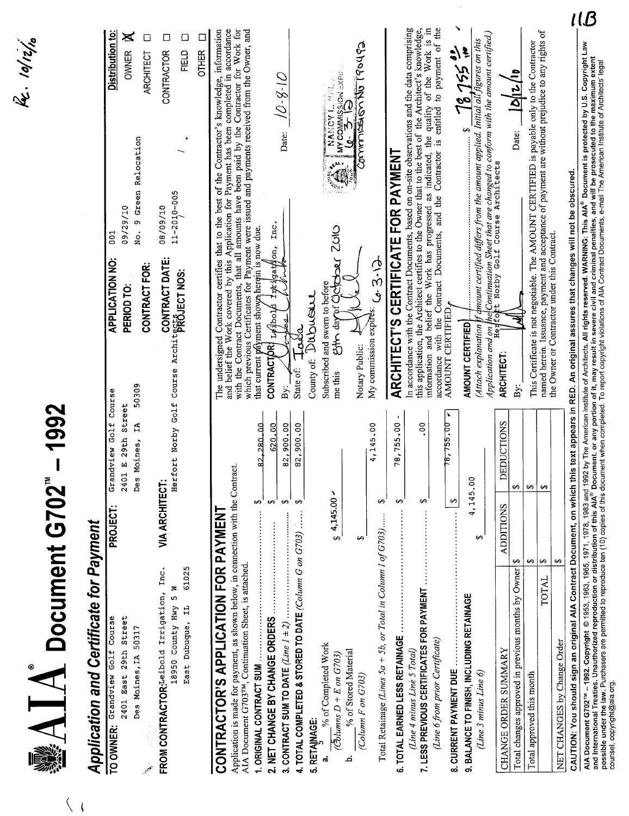| <b>Application and Certificate for Payment</b><br>2401 East 29th Street<br>Course<br>Des Moines, IA 50317<br>Golf<br>TO OWNER: Grandview                                                                                                                                                                       |                                                                              |                                          |                                                                             |                                                                                                                                                                                                                                                                                                                                                                                                  |                                                                                                                                                                                                                                                            |
|----------------------------------------------------------------------------------------------------------------------------------------------------------------------------------------------------------------------------------------------------------------------------------------------------------------|------------------------------------------------------------------------------|------------------------------------------|-----------------------------------------------------------------------------|--------------------------------------------------------------------------------------------------------------------------------------------------------------------------------------------------------------------------------------------------------------------------------------------------------------------------------------------------------------------------------------------------|------------------------------------------------------------------------------------------------------------------------------------------------------------------------------------------------------------------------------------------------------------|
|                                                                                                                                                                                                                                                                                                                |                                                                              |                                          |                                                                             |                                                                                                                                                                                                                                                                                                                                                                                                  |                                                                                                                                                                                                                                                            |
| فبر                                                                                                                                                                                                                                                                                                            | E 29th Street<br>oines,<br>view<br>Grand<br>Des M<br>2401<br><b>PROJECT:</b> | 50309<br>Course<br>Golf<br>Ą             | <b>APPLICATION NO:</b><br>CONTRACT FOR:<br>PERIOD TO:                       | 9 Green Relocation<br>09/29/10<br>$\frac{1}{2}$<br><b>DO1</b>                                                                                                                                                                                                                                                                                                                                    | Distribution to:<br>X<br>⊡<br><b>OWNER</b><br>ARCHITECT                                                                                                                                                                                                    |
| ۱Ŋ,<br>Inc.<br>6102<br>s<br>FROM CONTRACTOR: Leibold Irrigation,<br>ഗ<br>18950 County Hwy<br>East Dubuque, IL                                                                                                                                                                                                  | ŗ<br>Herfo<br><b>VIA ARCHITECT:</b>                                          | Norby Golf                               | CONTRACT DATE:<br>Course Architects LCT NOS:                                | $11 - 2010 - 005$<br>08/09/10                                                                                                                                                                                                                                                                                                                                                                    | □<br>□<br>⊡<br><b>OTHER</b><br>FIELD<br>CONTRACTOR                                                                                                                                                                                                         |
|                                                                                                                                                                                                                                                                                                                |                                                                              |                                          |                                                                             |                                                                                                                                                                                                                                                                                                                                                                                                  |                                                                                                                                                                                                                                                            |
| Application is made for payment, as shown below, in connection with the Contract<br>CONTRACTOR'S APPLICATION FOR PAYMENT<br>AIA Document G703TM, Continuation Sheet, is attached.                                                                                                                              |                                                                              |                                          |                                                                             | and belief the Work covered by this Application for Payment has been completed in accordance<br>with the Contract Documents, that all amounts have been paid by the Contractor for Work for<br>which previous Certificates for Payment were issued and payments received from the Owner, and<br>The undersigned Contractor certifies that to the best of the Contractor's knowledge, information |                                                                                                                                                                                                                                                            |
| 1. ORIGINAL CONTRACT SUM                                                                                                                                                                                                                                                                                       | 280,00<br>5<br>↔                                                             |                                          | that current payment shown herein is now due.                               |                                                                                                                                                                                                                                                                                                                                                                                                  |                                                                                                                                                                                                                                                            |
| 2. NET CHANGE BY CHANGE ORDERS                                                                                                                                                                                                                                                                                 | 620.00<br>82,900.00<br>$\Theta$<br>$\leftrightarrow$                         | <b>CONTRACTOR!</b><br>By:                | 122 jgation,<br>Acorpi                                                      | Date:<br>Inc.                                                                                                                                                                                                                                                                                                                                                                                    | 0-8-10                                                                                                                                                                                                                                                     |
| <b>4. TOTAL COMPLETED &amp; STORED TO DATE</b> (Column G on $G703$ )                                                                                                                                                                                                                                           | 82,900.00<br>↔                                                               | State of:                                | ತ್ತರೆ                                                                       |                                                                                                                                                                                                                                                                                                                                                                                                  |                                                                                                                                                                                                                                                            |
| 5. RETAINAGE:                                                                                                                                                                                                                                                                                                  |                                                                              | County of:                               | Dubuan                                                                      |                                                                                                                                                                                                                                                                                                                                                                                                  |                                                                                                                                                                                                                                                            |
| % of Completed Work<br>$\sqrt{c}$ olumns D + E on G703)<br>ಹ                                                                                                                                                                                                                                                   | x<br>4,145.00<br>$\Theta$                                                    | me this                                  | Choz Dacha<br>Subscribed and sworn to before<br>nf Oc'<br>gh day            | E <sub>LON</sub>                                                                                                                                                                                                                                                                                                                                                                                 | $\begin{array}{l} \mathsf{M}\mathsf{Y}\ \mathsf{CO}\mathsf{M}\mathsf{M} \mathsf{ISS} \mathsf{ON} \ \mathsf{c}\mathsf{XPR} \end{array}$<br>$\frac{d}{dt} \sum_{i=1}^{n} \frac{d}{dt} \sum_{i=1}^{n} \frac{d}{dt} \left( \frac{d}{dt} \right)^2$<br>NANCY L. |
| % of Stored Material<br>(Column F on G703)<br>خد                                                                                                                                                                                                                                                               | မာ                                                                           | Notary Public:                           |                                                                             | ģ                                                                                                                                                                                                                                                                                                                                                                                                | Commission No 190492                                                                                                                                                                                                                                       |
| Total Retainage (Lines 5a + 5b, or Total in Column I of G703)                                                                                                                                                                                                                                                  | 4,145.00<br>⊷                                                                |                                          | My commission expires: $C_2$ 3 $\cdot$ ( $\rightarrow$                      |                                                                                                                                                                                                                                                                                                                                                                                                  |                                                                                                                                                                                                                                                            |
| 6. TOTAL EARNED LESS RETAINAGE.                                                                                                                                                                                                                                                                                | 78,755.00<br>$\Theta$                                                        | $\bullet$                                |                                                                             | <b>ARCHITECT'S CERTIFICATE FOR PAYMENT</b>                                                                                                                                                                                                                                                                                                                                                       |                                                                                                                                                                                                                                                            |
| 7. LESS PREVIOUS CERTIFICATES FOR PAYMENT<br>(Line 4 minus Line 5 Total)                                                                                                                                                                                                                                       | ↔                                                                            | ိ<br>၁                                   |                                                                             | this application, the Architect certifies to the Owner that to the best of the Architect's knowledge,<br>In accordance with the Contract Documents, based on on-site observations and the data comprising                                                                                                                                                                                        |                                                                                                                                                                                                                                                            |
| (Line 6 from prior Certificate)                                                                                                                                                                                                                                                                                |                                                                              |                                          |                                                                             | information and belief the Work has progressed as indicated, the quality of the Work is in<br>accordance with the Contract Documents, and the Contractor is entitled to payment of the                                                                                                                                                                                                           |                                                                                                                                                                                                                                                            |
| 8. CURRENT PAYMENT DUE                                                                                                                                                                                                                                                                                         | 78,755.00<br>↔                                                               | AMOUNT CERTIFIED<br>×                    |                                                                             |                                                                                                                                                                                                                                                                                                                                                                                                  |                                                                                                                                                                                                                                                            |
| 9. BALANCE TO FINISH, INCLUDING RETAINAGE                                                                                                                                                                                                                                                                      | 4,145.00                                                                     | AMOUNT CERTIFIED                         |                                                                             |                                                                                                                                                                                                                                                                                                                                                                                                  | $78.755$ in<br>$\bullet$                                                                                                                                                                                                                                   |
| (Line 3 minus Line 6)                                                                                                                                                                                                                                                                                          | ↔                                                                            | Attach explanation<br>Application and on |                                                                             | he Continuation Sheet that are changed to conform with the amount certified.)<br>coft Norby Golf Course Architects<br>chnount certified differs from the amount applied. Initial all                                                                                                                                                                                                             | figures on this                                                                                                                                                                                                                                            |
| <b>CHANGE ORDER SUMMARY</b>                                                                                                                                                                                                                                                                                    | DEDUCTIONS<br>ADDITIONS                                                      | ARCHITECT:                               | τo<br>Her                                                                   |                                                                                                                                                                                                                                                                                                                                                                                                  |                                                                                                                                                                                                                                                            |
| 49<br>Total changes approved in previous months by Owner                                                                                                                                                                                                                                                       | ↔                                                                            | By:                                      |                                                                             | Date:                                                                                                                                                                                                                                                                                                                                                                                            | D  2/10                                                                                                                                                                                                                                                    |
| ↔<br>↔<br>TOTAL<br>Total approved this month                                                                                                                                                                                                                                                                   | ↔<br>⊷                                                                       |                                          |                                                                             | named herein. Issuance, payment and acceptance of payment are without prejudice to any rights of<br>This Certificate is not negotiable. The AMOUNT CERTIFIED is payable only to the Contractor                                                                                                                                                                                                   |                                                                                                                                                                                                                                                            |
| ↔<br>NET CHANGES by Change Order                                                                                                                                                                                                                                                                               |                                                                              |                                          | the Owner or Contractor under this Contract.                                |                                                                                                                                                                                                                                                                                                                                                                                                  |                                                                                                                                                                                                                                                            |
| AlA Document G702™ – 1992. Copyright © 1953, 1963, 1963, 1963, 1978, 1978, 1983 and 1992 by The American Institute of Architects. All rights reserved. WARNING: This AIA® Document is protected by U.S. Copyright Law<br>and Inte<br>CAUTION: You should sign an original AIA Contract Document, on which this |                                                                              |                                          | text appears in RED. An original assures that changes will not be obscured. |                                                                                                                                                                                                                                                                                                                                                                                                  |                                                                                                                                                                                                                                                            |

 $\hat{\mathcal{A}}$ 

Re. 10/12/10

 $\langle \ \rangle_{\rm f}$